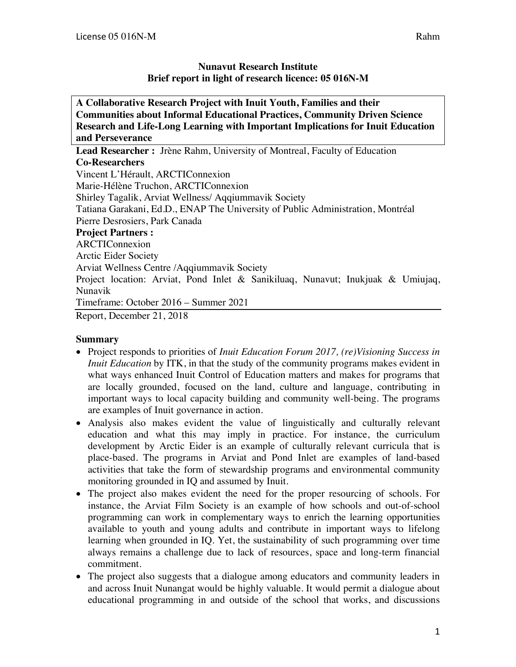### **Nunavut Research Institute Brief report in light of research licence: 05 016N-M**

| A Collaborative Research Project with Inuit Youth, Families and their             |
|-----------------------------------------------------------------------------------|
| <b>Communities about Informal Educational Practices, Community Driven Science</b> |
| Research and Life-Long Learning with Important Implications for Inuit Education   |
| and Perseverance                                                                  |
| <b>Lead Researcher:</b> Jrène Rahm, University of Montreal, Faculty of Education  |
| <b>Co-Researchers</b>                                                             |
| Vincent L'Hérault, ARCTIConnexion                                                 |
| Marie-Hélène Truchon, ARCTIConnexion                                              |
| Shirley Tagalik, Arviat Wellness/Aqqiummavik Society                              |
| Tatiana Garakani, Ed.D., ENAP The University of Public Administration, Montréal   |
| Pierre Desrosiers, Park Canada                                                    |
| <b>Project Partners:</b>                                                          |
| ARCTIConnexion                                                                    |
| <b>Arctic Eider Society</b>                                                       |
| Arviat Wellness Centre / Aqqiummavik Society                                      |
| Project location: Arviat, Pond Inlet & Sanikiluaq, Nunavut; Inukjuak & Umiujaq,   |
| Nunavik                                                                           |
| Timeframe: October 2016 – Summer 2021                                             |
| Report, December 21, 2018                                                         |
|                                                                                   |

## **Summary**

- Project responds to priorities of *Inuit Education Forum 2017, (re)Visioning Success in Inuit Education* by ITK, in that the study of the community programs makes evident in what ways enhanced Inuit Control of Education matters and makes for programs that are locally grounded, focused on the land, culture and language, contributing in important ways to local capacity building and community well-being. The programs are examples of Inuit governance in action.
- Analysis also makes evident the value of linguistically and culturally relevant education and what this may imply in practice. For instance, the curriculum development by Arctic Eider is an example of culturally relevant curricula that is place-based. The programs in Arviat and Pond Inlet are examples of land-based activities that take the form of stewardship programs and environmental community monitoring grounded in IQ and assumed by Inuit.
- The project also makes evident the need for the proper resourcing of schools. For instance, the Arviat Film Society is an example of how schools and out-of-school programming can work in complementary ways to enrich the learning opportunities available to youth and young adults and contribute in important ways to lifelong learning when grounded in IQ. Yet, the sustainability of such programming over time always remains a challenge due to lack of resources, space and long-term financial commitment.
- The project also suggests that a dialogue among educators and community leaders in and across Inuit Nunangat would be highly valuable. It would permit a dialogue about educational programming in and outside of the school that works, and discussions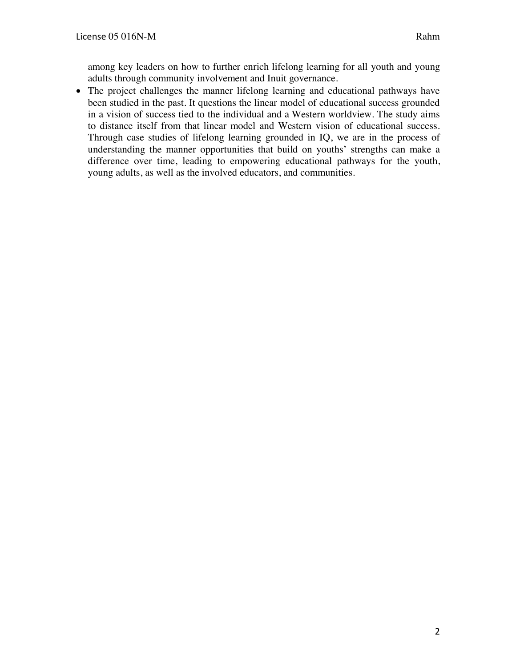among key leaders on how to further enrich lifelong learning for all youth and young adults through community involvement and Inuit governance.

• The project challenges the manner lifelong learning and educational pathways have been studied in the past. It questions the linear model of educational success grounded in a vision of success tied to the individual and a Western worldview. The study aims to distance itself from that linear model and Western vision of educational success. Through case studies of lifelong learning grounded in IQ, we are in the process of understanding the manner opportunities that build on youths' strengths can make a difference over time, leading to empowering educational pathways for the youth, young adults, as well as the involved educators, and communities.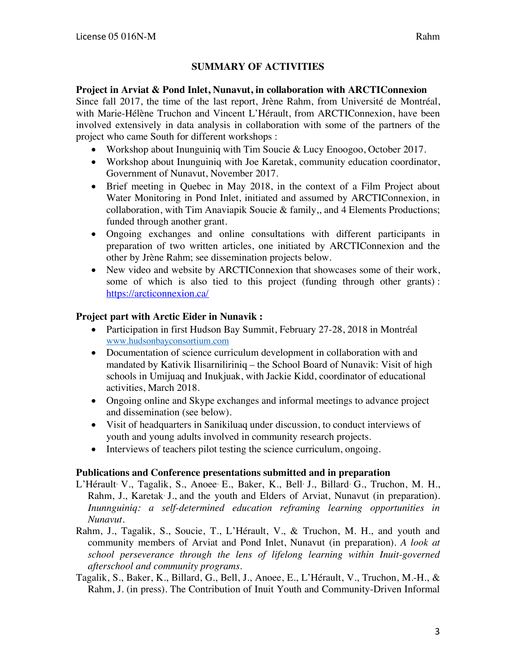# **SUMMARY OF ACTIVITIES**

#### **Project in Arviat & Pond Inlet, Nunavut, in collaboration with ARCTIConnexion**

Since fall 2017, the time of the last report, Jrène Rahm, from Université de Montréal, with Marie-Hélène Truchon and Vincent L'Hérault, from ARCTIConnexion, have been involved extensively in data analysis in collaboration with some of the partners of the project who came South for different workshops :

- Workshop about Inunguiniq with Tim Soucie & Lucy Enoogoo, October 2017.
- Workshop about Inunguiniq with Joe Karetak, community education coordinator, Government of Nunavut, November 2017.
- Brief meeting in Quebec in May 2018, in the context of a Film Project about Water Monitoring in Pond Inlet, initiated and assumed by ARCTIConnexion, in collaboration, with Tim Anaviapik Soucie & family,, and 4 Elements Productions; funded through another grant.
- Ongoing exchanges and online consultations with different participants in preparation of two written articles, one initiated by ARCTIConnexion and the other by Jrène Rahm; see dissemination projects below.
- New video and website by ARCTIConnexion that showcases some of their work, some of which is also tied to this project (funding through other grants) : https://arcticonnexion.ca/

#### **Project part with Arctic Eider in Nunavik :**

- Participation in first Hudson Bay Summit, February 27-28, 2018 in Montréal www.hudsonbayconsortium.com
- Documentation of science curriculum development in collaboration with and mandated by Kativik Ilisarniliriniq – the School Board of Nunavik: Visit of high schools in Umijuaq and Inukjuak, with Jackie Kidd, coordinator of educational activities, March 2018.
- Ongoing online and Skype exchanges and informal meetings to advance project and dissemination (see below).
- Visit of headquarters in Sanikiluaq under discussion, to conduct interviews of youth and young adults involved in community research projects.
- Interviews of teachers pilot testing the science curriculum, ongoing.

#### **Publications and Conference presentations submitted and in preparation**

- L'Hérault<sup>,</sup> V., Tagalik, S., Anoee<sup>,</sup> E., Baker, K., Bell<sup>,</sup> J., Billard<sup>,</sup> G., Truchon, M. H., Rahm, J., Karetak<sup>,</sup> J., and the youth and Elders of Arviat, Nunavut (in preparation). *Inunnguiniq: a self-determined education reframing learning opportunities in Nunavut.*
- Rahm, J., Tagalik, S., Soucie, T., L'Hérault, V., & Truchon, M. H., and youth and community members of Arviat and Pond Inlet, Nunavut (in preparation). *A look at school perseverance through the lens of lifelong learning within Inuit-governed afterschool and community programs.*
- Tagalik, S., Baker, K., Billard, G., Bell, J., Anoee, E., L'Hérault, V., Truchon, M.-H., & Rahm, J. (in press). The Contribution of Inuit Youth and Community-Driven Informal